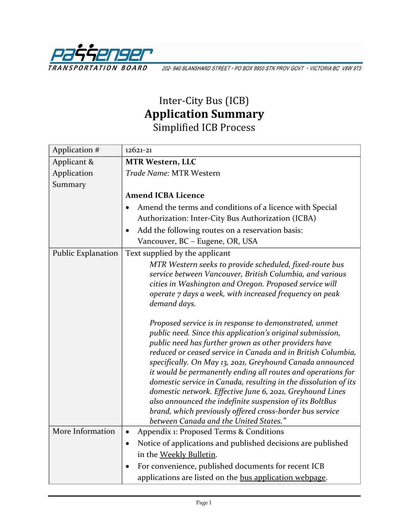

202-940 BLANSHARD STREET · PO BOX 9850 STN PROV GOVT · VICTORIA BC V8W 9T5

## Inter-City Bus (ICB) **Application Summary** Simplified ICB Process

| Application #      | $12621 - 21$                                                                                                                    |
|--------------------|---------------------------------------------------------------------------------------------------------------------------------|
| Applicant &        | <b>MTR Western, LLC</b>                                                                                                         |
| Application        | Trade Name: MTR Western                                                                                                         |
| Summary            |                                                                                                                                 |
|                    | <b>Amend ICBA Licence</b>                                                                                                       |
|                    | Amend the terms and conditions of a licence with Special                                                                        |
|                    | Authorization: Inter-City Bus Authorization (ICBA)                                                                              |
|                    | Add the following routes on a reservation basis:                                                                                |
|                    | Vancouver, BC - Eugene, OR, USA                                                                                                 |
| Public Explanation | Text supplied by the applicant                                                                                                  |
|                    | MTR Western seeks to provide scheduled, fixed-route bus                                                                         |
|                    | service between Vancouver, British Columbia, and various                                                                        |
|                    | cities in Washington and Oregon. Proposed service will                                                                          |
|                    | operate 7 days a week, with increased frequency on peak                                                                         |
|                    | demand days.                                                                                                                    |
|                    | Proposed service is in response to demonstrated, unmet                                                                          |
|                    | public need. Since this application's original submission,                                                                      |
|                    | public need has further grown as other providers have                                                                           |
|                    | reduced or ceased service in Canada and in British Columbia,                                                                    |
|                    | specifically. On May 13, 2021, Greyhound Canada announced                                                                       |
|                    | it would be permanently ending all routes and operations for<br>domestic service in Canada, resulting in the dissolution of its |
|                    | domestic network. Effective June 6, 2021, Greyhound Lines                                                                       |
|                    | also announced the indefinite suspension of its BoltBus                                                                         |
|                    | brand, which previously offered cross-border bus service                                                                        |
|                    | between Canada and the United States."                                                                                          |
| More Information   | Appendix 1: Proposed Terms & Conditions<br>$\bullet$                                                                            |
|                    | Notice of applications and published decisions are published<br>$\bullet$                                                       |
|                    | in the Weekly Bulletin.                                                                                                         |
|                    | For convenience, published documents for recent ICB<br>$\bullet$                                                                |
|                    | applications are listed on the bus application webpage.                                                                         |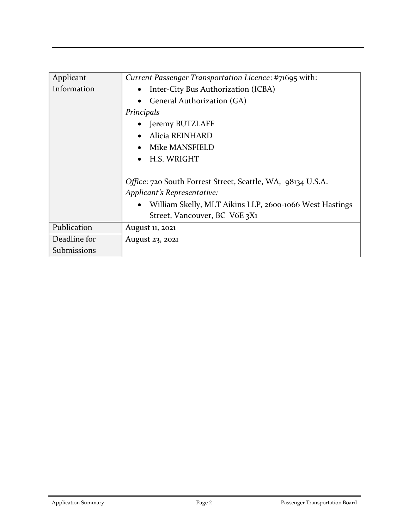| Applicant    | Current Passenger Transportation Licence: #71695 with:               |
|--------------|----------------------------------------------------------------------|
| Information  | Inter-City Bus Authorization (ICBA)<br>$\bullet$                     |
|              | General Authorization (GA)<br>$\bullet$                              |
|              | Principals                                                           |
|              | • Jeremy BUTZLAFF                                                    |
|              | Alicia REINHARD<br>$\bullet$                                         |
|              | Mike MANSFIELD                                                       |
|              | • H.S. WRIGHT                                                        |
|              |                                                                      |
|              | Office: 720 South Forrest Street, Seattle, WA, 98134 U.S.A.          |
|              | Applicant's Representative:                                          |
|              | William Skelly, MLT Aikins LLP, 2600-1066 West Hastings<br>$\bullet$ |
|              | Street, Vancouver, BC V6E 3X1                                        |
| Publication  | August 11, 2021                                                      |
| Deadline for | August 23, 2021                                                      |
| Submissions  |                                                                      |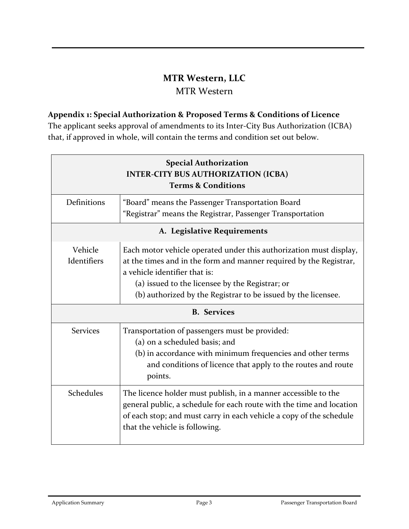## **MTR Western, LLC**

## MTR Western

## **Appendix 1: Special Authorization & Proposed Terms & Conditions of Licence**

The applicant seeks approval of amendments to its Inter-City Bus Authorization (ICBA) that, if approved in whole, will contain the terms and condition set out below.

| <b>Special Authorization</b><br><b>INTER-CITY BUS AUTHORIZATION (ICBA)</b><br><b>Terms &amp; Conditions</b> |                                                                                                                                                                                                                                                                                               |  |
|-------------------------------------------------------------------------------------------------------------|-----------------------------------------------------------------------------------------------------------------------------------------------------------------------------------------------------------------------------------------------------------------------------------------------|--|
| Definitions                                                                                                 | "Board" means the Passenger Transportation Board<br>"Registrar" means the Registrar, Passenger Transportation                                                                                                                                                                                 |  |
| A. Legislative Requirements                                                                                 |                                                                                                                                                                                                                                                                                               |  |
| Vehicle<br>Identifiers                                                                                      | Each motor vehicle operated under this authorization must display,<br>at the times and in the form and manner required by the Registrar,<br>a vehicle identifier that is:<br>(a) issued to the licensee by the Registrar; or<br>(b) authorized by the Registrar to be issued by the licensee. |  |
| <b>B.</b> Services                                                                                          |                                                                                                                                                                                                                                                                                               |  |
| <b>Services</b>                                                                                             | Transportation of passengers must be provided:<br>(a) on a scheduled basis; and<br>(b) in accordance with minimum frequencies and other terms<br>and conditions of licence that apply to the routes and route<br>points.                                                                      |  |
| Schedules                                                                                                   | The licence holder must publish, in a manner accessible to the<br>general public, a schedule for each route with the time and location<br>of each stop; and must carry in each vehicle a copy of the schedule<br>that the vehicle is following.                                               |  |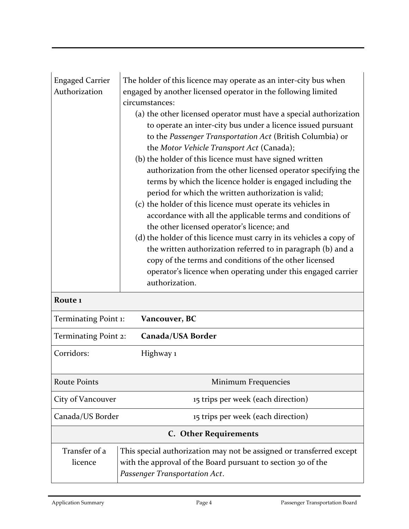| <b>Engaged Carrier</b><br>Authorization   | The holder of this licence may operate as an inter-city bus when<br>engaged by another licensed operator in the following limited<br>circumstances:<br>(a) the other licensed operator must have a special authorization<br>to operate an inter-city bus under a licence issued pursuant<br>to the Passenger Transportation Act (British Columbia) or<br>the Motor Vehicle Transport Act (Canada);<br>(b) the holder of this licence must have signed written<br>authorization from the other licensed operator specifying the<br>terms by which the licence holder is engaged including the<br>period for which the written authorization is valid;<br>(c) the holder of this licence must operate its vehicles in<br>accordance with all the applicable terms and conditions of<br>the other licensed operator's licence; and<br>(d) the holder of this licence must carry in its vehicles a copy of<br>the written authorization referred to in paragraph (b) and a<br>copy of the terms and conditions of the other licensed<br>operator's licence when operating under this engaged carrier |  |
|-------------------------------------------|--------------------------------------------------------------------------------------------------------------------------------------------------------------------------------------------------------------------------------------------------------------------------------------------------------------------------------------------------------------------------------------------------------------------------------------------------------------------------------------------------------------------------------------------------------------------------------------------------------------------------------------------------------------------------------------------------------------------------------------------------------------------------------------------------------------------------------------------------------------------------------------------------------------------------------------------------------------------------------------------------------------------------------------------------------------------------------------------------|--|
|                                           | authorization.                                                                                                                                                                                                                                                                                                                                                                                                                                                                                                                                                                                                                                                                                                                                                                                                                                                                                                                                                                                                                                                                                   |  |
| Route <sub>1</sub>                        |                                                                                                                                                                                                                                                                                                                                                                                                                                                                                                                                                                                                                                                                                                                                                                                                                                                                                                                                                                                                                                                                                                  |  |
| Terminating Point 1:                      | Vancouver, BC                                                                                                                                                                                                                                                                                                                                                                                                                                                                                                                                                                                                                                                                                                                                                                                                                                                                                                                                                                                                                                                                                    |  |
| Terminating Point 2:<br>Canada/USA Border |                                                                                                                                                                                                                                                                                                                                                                                                                                                                                                                                                                                                                                                                                                                                                                                                                                                                                                                                                                                                                                                                                                  |  |
| Corridors:                                | Highway 1                                                                                                                                                                                                                                                                                                                                                                                                                                                                                                                                                                                                                                                                                                                                                                                                                                                                                                                                                                                                                                                                                        |  |
| <b>Route Points</b>                       | Minimum Frequencies                                                                                                                                                                                                                                                                                                                                                                                                                                                                                                                                                                                                                                                                                                                                                                                                                                                                                                                                                                                                                                                                              |  |
| City of Vancouver                         | 15 trips per week (each direction)                                                                                                                                                                                                                                                                                                                                                                                                                                                                                                                                                                                                                                                                                                                                                                                                                                                                                                                                                                                                                                                               |  |
| Canada/US Border                          | 15 trips per week (each direction)                                                                                                                                                                                                                                                                                                                                                                                                                                                                                                                                                                                                                                                                                                                                                                                                                                                                                                                                                                                                                                                               |  |
| <b>C.</b> Other Requirements              |                                                                                                                                                                                                                                                                                                                                                                                                                                                                                                                                                                                                                                                                                                                                                                                                                                                                                                                                                                                                                                                                                                  |  |
| Transfer of a<br>licence                  | This special authorization may not be assigned or transferred except<br>with the approval of the Board pursuant to section 30 of the<br>Passenger Transportation Act.                                                                                                                                                                                                                                                                                                                                                                                                                                                                                                                                                                                                                                                                                                                                                                                                                                                                                                                            |  |